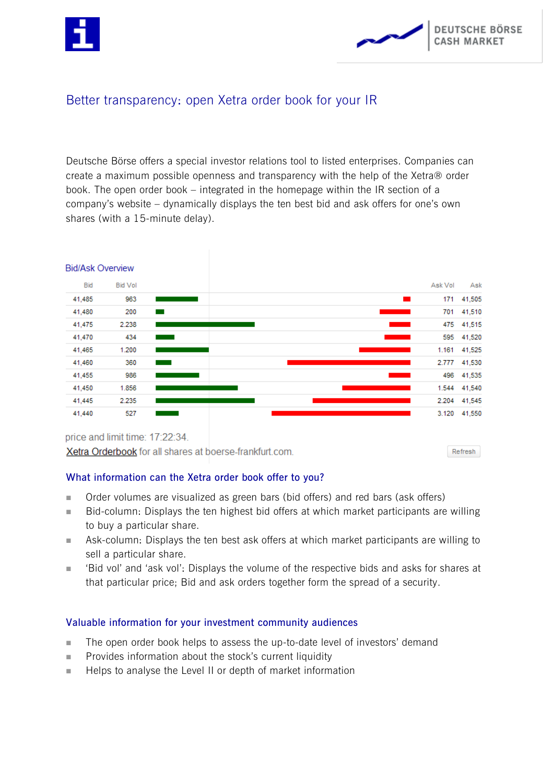



# Better transparency: open Xetra order book for your IR

Deutsche Börse offers a special investor relations tool to listed enterprises. Companies can create a maximum possible openness and transparency with the help of the Xetra® order book. The open order book – integrated in the homepage within the IR section of a company's website – dynamically displays the ten best bid and ask offers for one's own shares (with a 15-minute delay).



Xetra Orderbook for all shares at boerse-frankfurt.com.

Refresh

## **What information can the Xetra order book offer to you?**

- Order volumes are visualized as green bars (bid offers) and red bars (ask offers)
- Bid-column: Displays the ten highest bid offers at which market participants are willing to buy a particular share.
- Ask-column: Displays the ten best ask offers at which market participants are willing to sell a particular share.
- 'Bid vol' and 'ask vol': Displays the volume of the respective bids and asks for shares at that particular price; Bid and ask orders together form the spread of a security.

## **Valuable information for your investment community audiences**

- The open order book helps to assess the up-to-date level of investors' demand
- $\blacksquare$  Provides information about the stock's current liquidity
- Helps to analyse the Level II or depth of market information